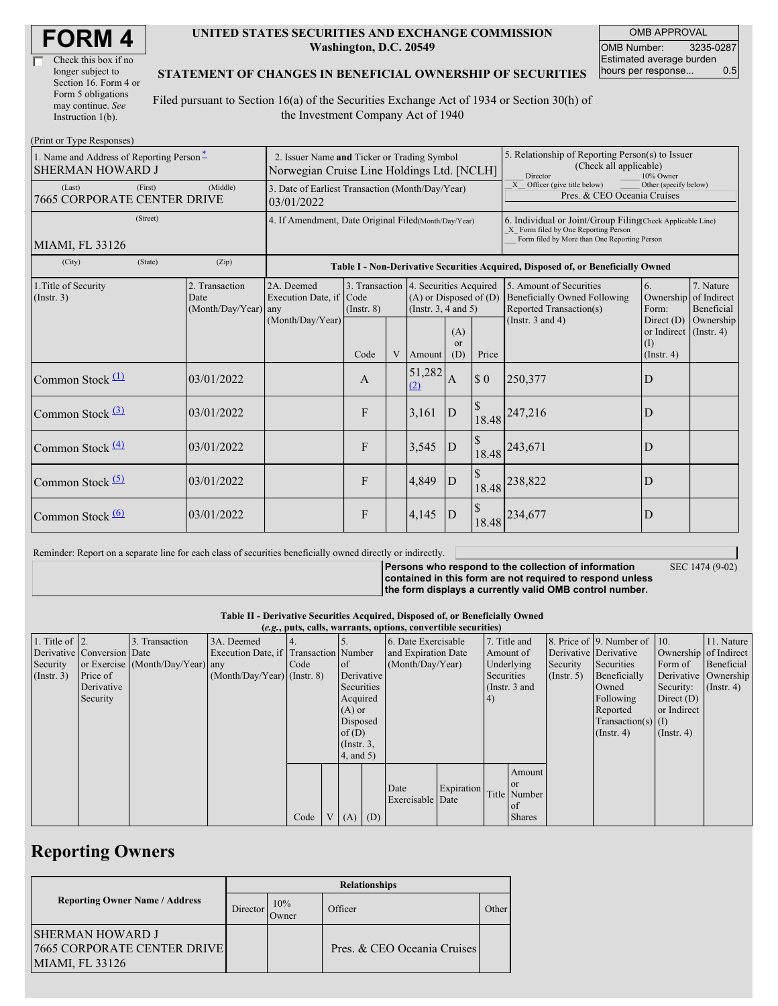| Check this box if no  |  |
|-----------------------|--|
| longer subject to     |  |
| Section 16. Form 4 or |  |
| Form 5 obligations    |  |
| may continue. See     |  |
| Instruction 1(b).     |  |

#### **UNITED STATES SECURITIES AND EXCHANGE COMMISSION Washington, D.C. 20549**

OMB APPROVAL OMB Number: 3235-0287 Estimated average burden hours per response... 0.5

#### **STATEMENT OF CHANGES IN BENEFICIAL OWNERSHIP OF SECURITIES**

Filed pursuant to Section 16(a) of the Securities Exchange Act of 1934 or Section 30(h) of the Investment Company Act of 1940

| (Print or Type Responses)                                           |                                                                                           |                                                           |                                                                                  |   |                                                                                  |                             |                                                                                                                                                    |                                                                                           |                                                                   |                         |  |
|---------------------------------------------------------------------|-------------------------------------------------------------------------------------------|-----------------------------------------------------------|----------------------------------------------------------------------------------|---|----------------------------------------------------------------------------------|-----------------------------|----------------------------------------------------------------------------------------------------------------------------------------------------|-------------------------------------------------------------------------------------------|-------------------------------------------------------------------|-------------------------|--|
| 1. Name and Address of Reporting Person-<br><b>SHERMAN HOWARD J</b> | 2. Issuer Name and Ticker or Trading Symbol<br>Norwegian Cruise Line Holdings Ltd. [NCLH] |                                                           |                                                                                  |   |                                                                                  |                             | 5. Relationship of Reporting Person(s) to Issuer<br>(Check all applicable)<br>Director<br>10% Owner                                                |                                                                                           |                                                                   |                         |  |
| (First)<br>(Last)<br>7665 CORPORATE CENTER DRIVE                    | 3. Date of Earliest Transaction (Month/Day/Year)<br>03/01/2022                            |                                                           |                                                                                  |   |                                                                                  |                             | X Officer (give title below)<br>Other (specify below)<br>Pres. & CEO Oceania Cruises                                                               |                                                                                           |                                                                   |                         |  |
| (Street)<br>MIAMI, FL 33126                                         | 4. If Amendment, Date Original Filed(Month/Day/Year)                                      |                                                           |                                                                                  |   |                                                                                  |                             | 6. Individual or Joint/Group Filing(Check Applicable Line)<br>X Form filed by One Reporting Person<br>Form filed by More than One Reporting Person |                                                                                           |                                                                   |                         |  |
| (City)<br>(State)                                                   | (Zip)                                                                                     |                                                           | Table I - Non-Derivative Securities Acquired, Disposed of, or Beneficially Owned |   |                                                                                  |                             |                                                                                                                                                    |                                                                                           |                                                                   |                         |  |
| 1. Title of Security<br>(Insert. 3)                                 | 2. Transaction<br>Date<br>(Month/Day/Year) any                                            | 2A. Deemed<br>Execution Date, if Code<br>(Month/Day/Year) | 3. Transaction<br>$($ Instr. $8)$                                                |   | 4. Securities Acquired<br>$(A)$ or Disposed of $(D)$<br>(Instr. $3, 4$ and $5$ ) |                             |                                                                                                                                                    | 5. Amount of Securities<br><b>Beneficially Owned Following</b><br>Reported Transaction(s) | 6.<br>Ownership of Indirect<br>Form:                              | 7. Nature<br>Beneficial |  |
|                                                                     |                                                                                           |                                                           | Code                                                                             | V | Amount                                                                           | (A)<br><sub>or</sub><br>(D) | Price                                                                                                                                              | (Instr. $3$ and $4$ )                                                                     | Direct $(D)$<br>or Indirect (Instr. 4)<br>(1)<br>$($ Instr. 4 $)$ | Ownership               |  |
| Common Stock $(1)$                                                  | 03/01/2022                                                                                |                                                           | A                                                                                |   | 51,282<br>(2)                                                                    | A                           | $\$$ 0                                                                                                                                             | 250,377                                                                                   | D                                                                 |                         |  |
| Common Stock $(3)$                                                  | 03/01/2022                                                                                |                                                           | F                                                                                |   | 3,161                                                                            | D                           | <sup>\$</sup>                                                                                                                                      | 18.48 247,216                                                                             | D                                                                 |                         |  |
| Common Stock $\frac{(4)}{4}$                                        | 03/01/2022                                                                                |                                                           | F                                                                                |   | 3,545                                                                            | $\mathbf{D}$                |                                                                                                                                                    | 18.48 243,671                                                                             | D                                                                 |                         |  |
| Common Stock $(5)$                                                  | 03/01/2022                                                                                |                                                           | F                                                                                |   | 4,849                                                                            | D                           |                                                                                                                                                    | 18.48 238,822                                                                             | D                                                                 |                         |  |
| Common Stock $\frac{(6)}{6}$                                        | 03/01/2022                                                                                |                                                           | F                                                                                |   | 4,145                                                                            | $\mathbf{D}$                |                                                                                                                                                    | 18.48 234,677                                                                             | D                                                                 |                         |  |

Reminder: Report on a separate line for each class of securities beneficially owned directly or indirectly.

**Persons who respond to the collection of information**

SEC 1474 (9-02)

**contained in this form are not required to respond unless the form displays a currently valid OMB control number.**

**Table II - Derivative Securities Acquired, Disposed of, or Beneficially Owned**

| (e.g., puts, calls, warrants, options, convertible securities) |                            |                                  |                                       |      |  |                 |                     |                          |  |                 |               |                      |                              |                       |               |  |
|----------------------------------------------------------------|----------------------------|----------------------------------|---------------------------------------|------|--|-----------------|---------------------|--------------------------|--|-----------------|---------------|----------------------|------------------------------|-----------------------|---------------|--|
| 1. Title of $\vert$ 2.                                         |                            | 3. Transaction                   | 3A. Deemed                            |      |  |                 |                     | 6. Date Exercisable      |  | 7. Title and    |               |                      | 8. Price of 9. Number of 10. |                       | 11. Nature    |  |
|                                                                | Derivative Conversion Date |                                  | Execution Date, if Transaction Number |      |  |                 | and Expiration Date |                          |  | Amount of       |               |                      | Derivative Derivative        | Ownership of Indirect |               |  |
| Security                                                       |                            | or Exercise (Month/Day/Year) any |                                       | Code |  | 1 of            | (Month/Day/Year)    |                          |  |                 | Underlying    | Security             | Securities                   | Form of               | Beneficial    |  |
| $($ Instr. 3 $)$                                               | Price of                   |                                  | $(Month/Day/Year)$ (Instr. 8)         |      |  | Derivative      |                     |                          |  |                 | Securities    | $($ Instr. 5 $)$     | Beneficially                 | Derivative Ownership  |               |  |
|                                                                | Derivative                 |                                  |                                       |      |  | Securities      |                     |                          |  | (Instr. $3$ and |               |                      | Owned                        | Security:             | $($ Instr. 4) |  |
|                                                                | Security                   |                                  |                                       |      |  | Acquired        |                     |                          |  | (4)             |               |                      | Following                    | Direct $(D)$          |               |  |
|                                                                |                            |                                  |                                       |      |  | $(A)$ or        |                     |                          |  |                 |               | Reported             | or Indirect                  |                       |               |  |
|                                                                |                            |                                  |                                       |      |  |                 | Disposed            |                          |  |                 |               | Transaction(s) $(I)$ |                              |                       |               |  |
|                                                                |                            |                                  |                                       |      |  | of(D)           |                     |                          |  |                 |               | $($ Instr. 4 $)$     | $($ Instr. 4 $)$             |                       |               |  |
|                                                                |                            |                                  |                                       |      |  | $($ Instr. $3,$ |                     |                          |  |                 |               |                      |                              |                       |               |  |
|                                                                |                            |                                  |                                       |      |  | 4, and 5)       |                     |                          |  |                 |               |                      |                              |                       |               |  |
|                                                                |                            |                                  |                                       |      |  |                 |                     |                          |  |                 | Amount        |                      |                              |                       |               |  |
|                                                                |                            |                                  |                                       |      |  |                 |                     |                          |  |                 | <sub>or</sub> |                      |                              |                       |               |  |
|                                                                |                            |                                  |                                       |      |  |                 |                     | Date<br>Exercisable Date |  | Expiration      |               | Title Number         |                              |                       |               |  |
|                                                                |                            |                                  |                                       |      |  |                 |                     |                          |  |                 | l of          |                      |                              |                       |               |  |
|                                                                |                            |                                  |                                       | Code |  | $V(A)$ (D)      |                     |                          |  |                 | <b>Shares</b> |                      |                              |                       |               |  |

## **Reporting Owners**

|                                                                                  | <b>Relationships</b> |              |                             |       |  |  |  |  |  |
|----------------------------------------------------------------------------------|----------------------|--------------|-----------------------------|-------|--|--|--|--|--|
| <b>Reporting Owner Name / Address</b>                                            | Director             | 10%<br>Dwner | Officer                     | Other |  |  |  |  |  |
| <b>SHERMAN HOWARD J</b><br><b>7665 CORPORATE CENTER DRIVE</b><br>MIAMI, FL 33126 |                      |              | Pres. & CEO Oceania Cruises |       |  |  |  |  |  |